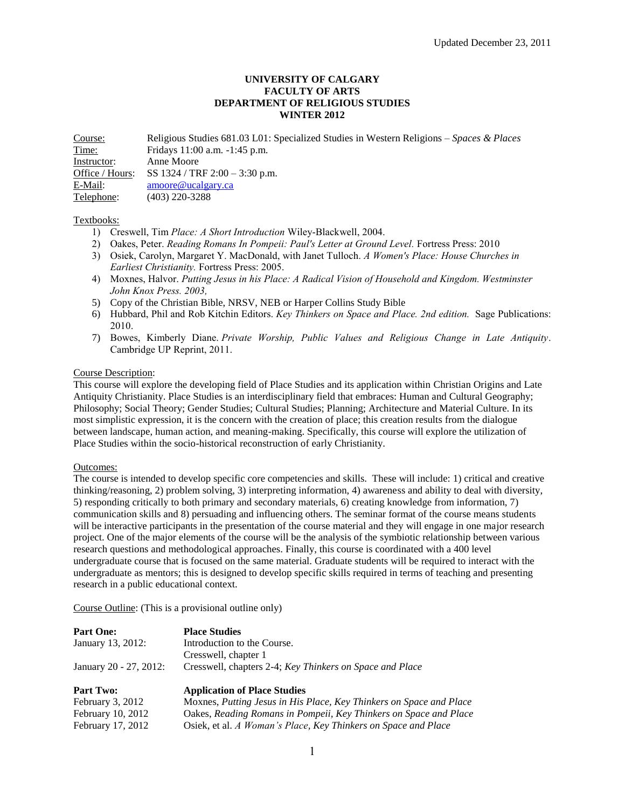#### **UNIVERSITY OF CALGARY FACULTY OF ARTS DEPARTMENT OF RELIGIOUS STUDIES WINTER 2012**

Course: Religious Studies 681.03 L01: Specialized Studies in Western Religions – *Spaces & Places* Time: Fridays 11:00 a.m. -1:45 p.m. Instructor: Anne Moore Office / Hours: SS 1324 / TRF 2:00 – 3:30 p.m. E-Mail: [amoore@ucalgary.ca](mailto:amoore@ucalgary.ca) Telephone: (403) 220-3288

#### Textbooks:

- 1) Creswell, Tim *Place: A Short Introduction* Wiley-Blackwell, 2004.
- 2) Oakes, Peter. *Reading Romans In Pompeii: Paul's Letter at Ground Level.* Fortress Press: 2010
- 3) Osiek, Carolyn, Margaret Y. MacDonald, with Janet Tulloch. *A Women's Place: House Churches in Earliest Christianity.* Fortress Press: 2005.
- 4) Moxnes, Halvor. *Putting Jesus in his Place: A Radical Vision of Household and Kingdom. Westminster John Knox Press. 2003,*
- 5) Copy of the Christian Bible, NRSV, NEB or Harper Collins Study Bible
- 6) Hubbard, Phil and Rob Kitchin Editors. *Key Thinkers on Space and Place. 2nd edition.* Sage Publications: 2010.
- 7) Bowes, Kimberly Diane. *Private Worship, Public Values and Religious Change in Late Antiquity*. Cambridge UP Reprint, 2011.

#### Course Description:

This course will explore the developing field of Place Studies and its application within Christian Origins and Late Antiquity Christianity. Place Studies is an interdisciplinary field that embraces: Human and Cultural Geography; Philosophy; Social Theory; Gender Studies; Cultural Studies; Planning; Architecture and Material Culture. In its most simplistic expression, it is the concern with the creation of place; this creation results from the dialogue between landscape, human action, and meaning-making. Specifically, this course will explore the utilization of Place Studies within the socio-historical reconstruction of early Christianity.

#### Outcomes:

The course is intended to develop specific core competencies and skills. These will include: 1) critical and creative thinking/reasoning, 2) problem solving, 3) interpreting information, 4) awareness and ability to deal with diversity, 5) responding critically to both primary and secondary materials, 6) creating knowledge from information, 7) communication skills and 8) persuading and influencing others. The seminar format of the course means students will be interactive participants in the presentation of the course material and they will engage in one major research project. One of the major elements of the course will be the analysis of the symbiotic relationship between various research questions and methodological approaches. Finally, this course is coordinated with a 400 level undergraduate course that is focused on the same material. Graduate students will be required to interact with the undergraduate as mentors; this is designed to develop specific skills required in terms of teaching and presenting research in a public educational context.

Course Outline: (This is a provisional outline only)

| <b>Part One:</b>       | <b>Place Studies</b>                                                |
|------------------------|---------------------------------------------------------------------|
| January 13, 2012:      | Introduction to the Course.                                         |
|                        | Cresswell, chapter 1                                                |
| January 20 - 27, 2012: | Cresswell, chapters 2-4; Key Thinkers on Space and Place            |
| <b>Part Two:</b>       | <b>Application of Place Studies</b>                                 |
| February $3, 2012$     | Moxnes, Putting Jesus in His Place, Key Thinkers on Space and Place |
| February 10, 2012      | Oakes, Reading Romans in Pompeii, Key Thinkers on Space and Place   |
| February 17, 2012      | Osiek, et al. A Woman's Place, Key Thinkers on Space and Place      |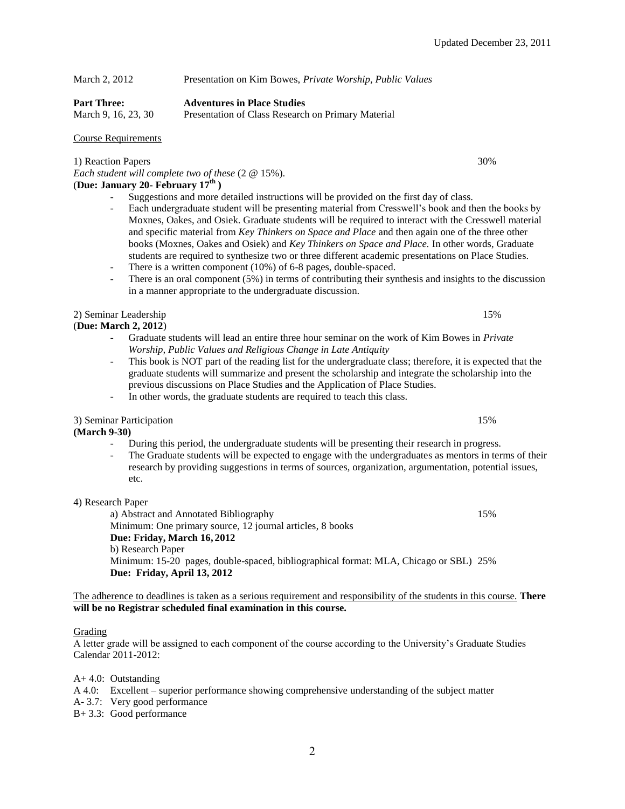# March 2, 2012 Presentation on Kim Bowes, *Private Worship, Public Values*

### **Part Three: Adventures in Place Studies**

March 9, 16, 23, 30 Presentation of Class Research on Primary Material

## Course Requirements

1) Reaction Papers 30%

*Each student will complete two of these* (2 @ 15%). (**Due: January 20- February 17th )**

- Suggestions and more detailed instructions will be provided on the first day of class.
- Each undergraduate student will be presenting material from Cresswell's book and then the books by Moxnes, Oakes, and Osiek. Graduate students will be required to interact with the Cresswell material and specific material from *Key Thinkers on Space and Place* and then again one of the three other books (Moxnes, Oakes and Osiek) and *Key Thinkers on Space and Place.* In other words, Graduate students are required to synthesize two or three different academic presentations on Place Studies.
- There is a written component (10%) of 6-8 pages, double-spaced.
- There is an oral component  $(5%)$  in terms of contributing their synthesis and insights to the discussion in a manner appropriate to the undergraduate discussion.

## 2) Seminar Leadership 15% and 15% and 15% and 15% and 15% and 15% and 15% and 15% and 15% and 15% and 15% and 15% and 15% and 15% and 15% and 15% and 15% and 15% and 15% and 15% and 15% and 15% and 15% and 15% and 15% and

## (**Due: March 2, 2012**)

- Graduate students will lead an entire three hour seminar on the work of Kim Bowes in *Private Worship, Public Values and Religious Change in Late Antiquity*
- This book is NOT part of the reading list for the undergraduate class; therefore, it is expected that the graduate students will summarize and present the scholarship and integrate the scholarship into the previous discussions on Place Studies and the Application of Place Studies.
- In other words, the graduate students are required to teach this class.

## 3) Seminar Participation 15%

**(March 9-30)**

- During this period, the undergraduate students will be presenting their research in progress.
- The Graduate students will be expected to engage with the undergraduates as mentors in terms of their research by providing suggestions in terms of sources, organization, argumentation, potential issues, etc.

## 4) Research Paper

a) Abstract and Annotated Bibliography 15% 15% Minimum: One primary source, 12 journal articles, 8 books **Due: Friday, March 16, 2012** b) Research Paper Minimum: 15-20 pages, double-spaced, bibliographical format: MLA, Chicago or SBL) 25% **Due: Friday, April 13, 2012**

The adherence to deadlines is taken as a serious requirement and responsibility of the students in this course. **There will be no Registrar scheduled final examination in this course.**

#### Grading

A letter grade will be assigned to each component of the course according to the University's Graduate Studies Calendar 2011-2012:

A+ 4.0: Outstanding

- A 4.0: Excellent superior performance showing comprehensive understanding of the subject matter
- A- 3.7: Very good performance
- B+ 3.3: Good performance